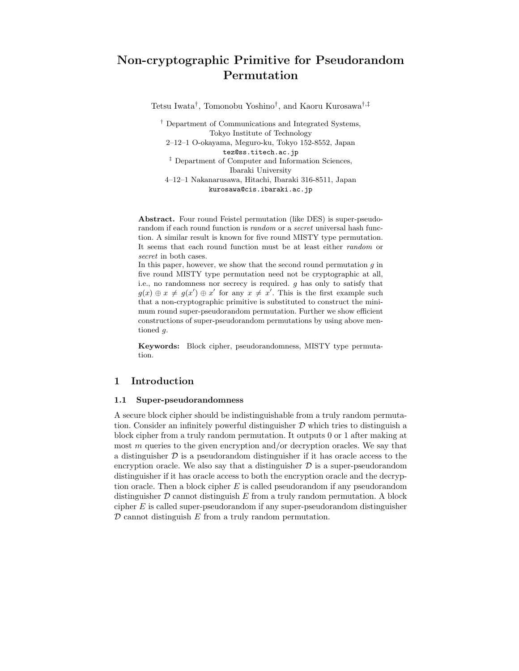# Non-cryptographic Primitive for Pseudorandom Permutation

Tetsu Iwata† , Tomonobu Yoshino† , and Kaoru Kurosawa †,‡

† Department of Communications and Integrated Systems, Tokyo Institute of Technology 2–12–1 O-okayama, Meguro-ku, Tokyo 152-8552, Japan tez@ss.titech.ac.jp ‡ Department of Computer and Information Sciences, Ibaraki University 4–12–1 Nakanarusawa, Hitachi, Ibaraki 316-8511, Japan kurosawa@cis.ibaraki.ac.jp

Abstract. Four round Feistel permutation (like DES) is super-pseudorandom if each round function is *random* or a *secret* universal hash function. A similar result is known for five round MISTY type permutation. It seems that each round function must be at least either random or secret in both cases.

In this paper, however, we show that the second round permutation  $g$  in five round MISTY type permutation need not be cryptographic at all, i.e., no randomness nor secrecy is required.  $g$  has only to satisfy that  $g(x) \oplus x \neq g(x') \oplus x'$  for any  $x \neq x'$ . This is the first example such that a non-cryptographic primitive is substituted to construct the minimum round super-pseudorandom permutation. Further we show efficient constructions of super-pseudorandom permutations by using above mentioned g.

Keywords: Block cipher, pseudorandomness, MISTY type permutation.

## 1 Introduction

### 1.1 Super-pseudorandomness

A secure block cipher should be indistinguishable from a truly random permutation. Consider an infinitely powerful distinguisher  $D$  which tries to distinguish a block cipher from a truly random permutation. It outputs 0 or 1 after making at most  $m$  queries to the given encryption and/or decryption oracles. We say that a distinguisher  $\mathcal D$  is a pseudorandom distinguisher if it has oracle access to the encryption oracle. We also say that a distinguisher  $D$  is a super-pseudorandom distinguisher if it has oracle access to both the encryption oracle and the decryption oracle. Then a block cipher  $E$  is called pseudorandom if any pseudorandom distinguisher  $\mathcal D$  cannot distinguish  $E$  from a truly random permutation. A block cipher E is called super-pseudorandom if any super-pseudorandom distinguisher  $D$  cannot distinguish  $E$  from a truly random permutation.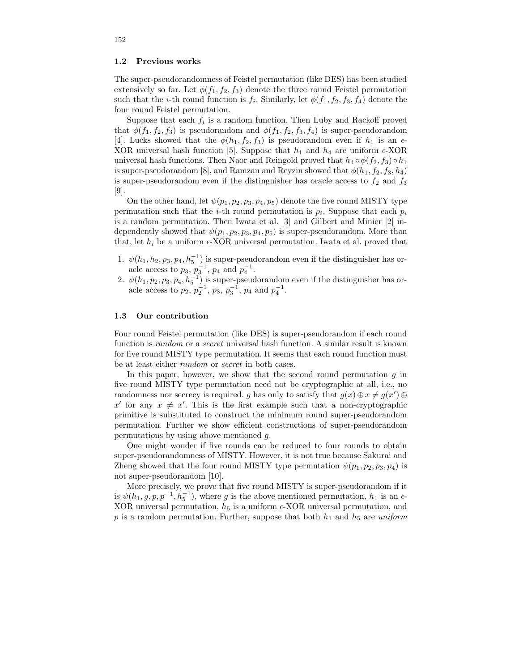#### 1.2 Previous works

The super-pseudorandomness of Feistel permutation (like DES) has been studied extensively so far. Let  $\phi(f_1, f_2, f_3)$  denote the three round Feistel permutation such that the *i*-th round function is  $f_i$ . Similarly, let  $\phi(f_1, f_2, f_3, f_4)$  denote the four round Feistel permutation.

Suppose that each  $f_i$  is a random function. Then Luby and Rackoff proved that  $\phi(f_1, f_2, f_3)$  is pseudorandom and  $\phi(f_1, f_2, f_3, f_4)$  is super-pseudorandom [4]. Lucks showed that the  $\phi(h_1, f_2, f_3)$  is pseudorandom even if  $h_1$  is an  $\epsilon$ -XOR universal hash function [5]. Suppose that  $h_1$  and  $h_4$  are uniform  $\epsilon$ -XOR universal hash functions. Then Naor and Reingold proved that  $h_4 \circ \phi(f_2, f_3) \circ h_1$ is super-pseudorandom [8], and Ramzan and Reyzin showed that  $\phi(h_1, f_2, f_3, h_4)$ is super-pseudorandom even if the distinguisher has oracle access to  $f_2$  and  $f_3$ [9].

On the other hand, let  $\psi(p_1, p_2, p_3, p_4, p_5)$  denote the five round MISTY type permutation such that the *i*-th round permutation is  $p_i$ . Suppose that each  $p_i$ is a random permutation. Then Iwata et al. [3] and Gilbert and Minier [2] independently showed that  $\psi(p_1, p_2, p_3, p_4, p_5)$  is super-pseudorandom. More than that, let  $h_i$  be a uniform  $\epsilon$ -XOR universal permutation. Iwata et al. proved that

- 1.  $\psi(h_1, h_2, p_3, p_4, h_5^{-1})$  is super-pseudorandom even if the distinguisher has oracle access to  $p_3$ ,  $p_3^{-1}$ ,  $p_4$  and  $p_4^{-1}$ .
- 2.  $\psi(h_1, p_2, p_3, p_4, h_5^{-1})$  is super-pseudorandom even if the distinguisher has oracle access to  $p_2, p_2^{-1}, p_3, p_3^{-1}, p_4$  and  $p_4^{-1}$ .

### 1.3 Our contribution

Four round Feistel permutation (like DES) is super-pseudorandom if each round function is random or a secret universal hash function. A similar result is known for five round MISTY type permutation. It seems that each round function must be at least either random or secret in both cases.

In this paper, however, we show that the second round permutation  $g$  in five round MISTY type permutation need not be cryptographic at all, i.e., no randomness nor secrecy is required. g has only to satisfy that  $g(x) \oplus x \neq g(x') \oplus y'$ x' for any  $x \neq x'$ . This is the first example such that a non-cryptographic primitive is substituted to construct the minimum round super-pseudorandom permutation. Further we show efficient constructions of super-pseudorandom permutations by using above mentioned g.

One might wonder if five rounds can be reduced to four rounds to obtain super-pseudorandomness of MISTY. However, it is not true because Sakurai and Zheng showed that the four round MISTY type permutation  $\psi(p_1, p_2, p_3, p_4)$  is not super-pseudorandom [10].

More precisely, we prove that five round MISTY is super-pseudorandom if it is  $\psi(h_1, g, p, p^{-1}, h_5^{-1})$ , where g is the above mentioned permutation,  $h_1$  is an  $\epsilon$ -XOR universal permutation,  $h_5$  is a uniform  $\epsilon$ -XOR universal permutation, and p is a random permutation. Further, suppose that both  $h_1$  and  $h_5$  are uniform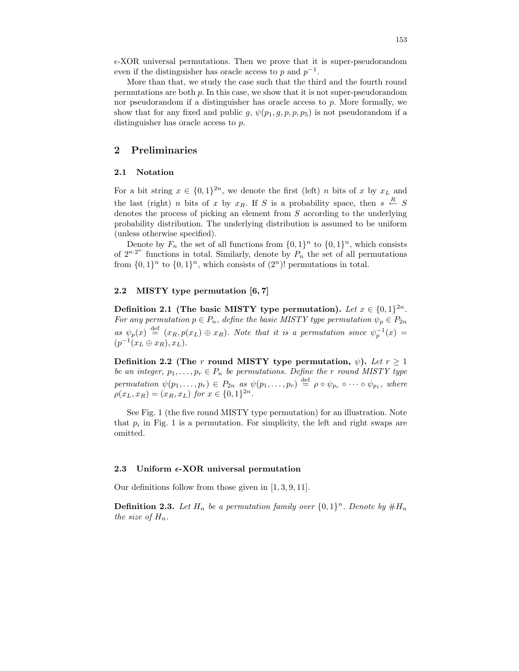$\epsilon$ -XOR universal permutations. Then we prove that it is super-pseudorandom even if the distinguisher has oracle access to p and  $p^{-1}$ .

More than that, we study the case such that the third and the fourth round permutations are both p. In this case, we show that it is not super-pseudorandom nor pseudorandom if a distinguisher has oracle access to  $p$ . More formally, we show that for any fixed and public g,  $\psi(p_1, q, p, p_5)$  is not pseudorandom if a distinguisher has oracle access to p.

### 2 Preliminaries

### 2.1 Notation

For a bit string  $x \in \{0,1\}^{2n}$ , we denote the first (left) *n* bits of x by  $x_L$  and the last (right) *n* bits of x by  $x_R$ . If S is a probability space, then  $s \stackrel{R}{\leftarrow} S$ denotes the process of picking an element from S according to the underlying probability distribution. The underlying distribution is assumed to be uniform (unless otherwise specified).

Denote by  $F_n$  the set of all functions from  $\{0,1\}^n$  to  $\{0,1\}^n$ , which consists of  $2^{n \cdot 2^n}$  functions in total. Similarly, denote by  $P_n$  the set of all permutations from  $\{0,1\}^n$  to  $\{0,1\}^n$ , which consists of  $(2^n)!$  permutations in total.

### 2.2 MISTY type permutation [6, 7]

Definition 2.1 (The basic MISTY type permutation). Let  $x \in \{0,1\}^{2n}$ . For any permutation  $p \in P_n$ , define the basic MISTY type permutation  $\psi_p \in P_{2n}$ as  $\psi_p(x) \stackrel{\text{def}}{=} (x_R, p(x_L) \oplus x_R)$ . Note that it is a permutation since  $\psi_p^{-1}(x) =$  $(p^{-1}(x_L \oplus x_R), x_L).$ 

Definition 2.2 (The r round MISTY type permutation,  $\psi$ ). Let  $r \geq 1$ be an integer,  $p_1, \ldots, p_r \in P_n$  be permutations. Define the r round MISTY type permutation  $\psi(p_1,\ldots,p_r) \in P_{2n}$  as  $\psi(p_1,\ldots,p_r) \stackrel{\text{def}}{=} \rho \circ \psi_{p_r} \circ \cdots \circ \psi_{p_1}$ , where  $\rho(x_L, x_R) = (x_R, x_L)$  for  $x \in \{0, 1\}^{2n}$ .

See Fig. 1 (the five round MISTY type permutation) for an illustration. Note that  $p_i$  in Fig. 1 is a permutation. For simplicity, the left and right swaps are omitted.

### 2.3 Uniform  $\epsilon$ -XOR universal permutation

Our definitions follow from those given in [1, 3, 9, 11].

**Definition 2.3.** Let  $H_n$  be a permutation family over  $\{0,1\}^n$ . Denote by  $#H_n$ the size of  $H_n$ .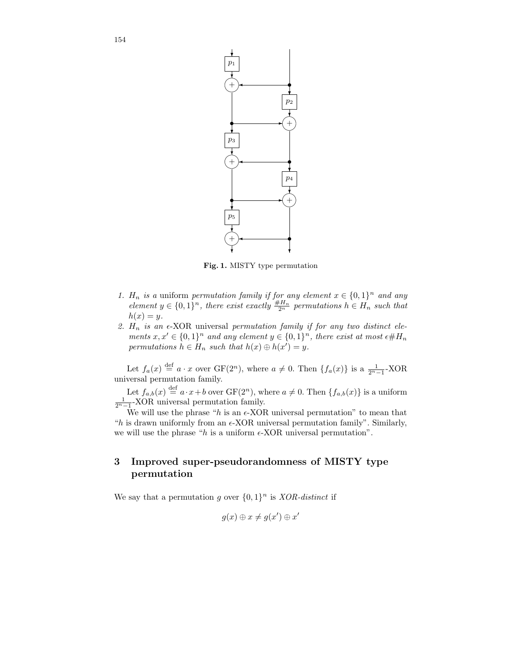

Fig. 1. MISTY type permutation

- 1.  $H_n$  is a uniform permutation family if for any element  $x \in \{0,1\}^n$  and any element  $y \in \{0,1\}^n$ , there exist exactly  $\frac{\#H_n}{2^n}$  permutations  $h \in H_n$  such that  $h(x) = y.$
- 2.  $H_n$  is an  $\epsilon$ -XOR universal permutation family if for any two distinct elements  $x, x' \in \{0,1\}^n$  and any element  $y \in \{0,1\}^n$ , there exist at most  $\epsilon \# H_n$ permutations  $h \in H_n$  such that  $h(x) \oplus h(x') = y$ .

Let  $f_a(x) \stackrel{\text{def}}{=} a \cdot x$  over  $GF(2^n)$ , where  $a \neq 0$ . Then  $\{f_a(x)\}\$ is a  $\frac{1}{2^n-1}$ -XOR universal permutation family.

Let  $f_{a,b}(x) \stackrel{\text{def}}{=} a \cdot x + b$  over  $GF(2^n)$ , where  $a \neq 0$ . Then  $\{f_{a,b}(x)\}$  is a uniform  $\frac{1}{2^n-1}$ -XOR universal permutation family.

We will use the phrase "h is an  $\epsilon$ -XOR universal permutation" to mean that "h is drawn uniformly from an  $\epsilon$ -XOR universal permutation family". Similarly, we will use the phrase "h is a uniform  $\epsilon$ -XOR universal permutation".

# 3 Improved super-pseudorandomness of MISTY type permutation

We say that a permutation g over  $\{0,1\}^n$  is *XOR-distinct* if

$$
g(x) \oplus x \neq g(x') \oplus x'
$$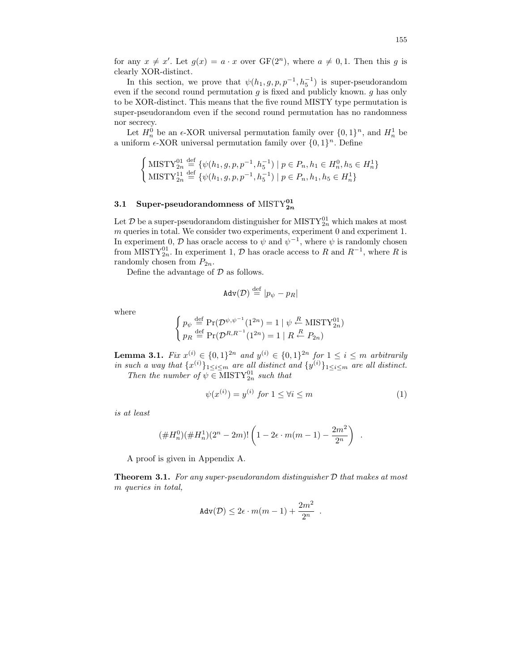for any  $x \neq x'$ . Let  $g(x) = a \cdot x$  over  $GF(2^n)$ , where  $a \neq 0, 1$ . Then this g is clearly XOR-distinct.

In this section, we prove that  $\psi(h_1, g, p, p^{-1}, h_5^{-1})$  is super-pseudorandom even if the second round permutation  $g$  is fixed and publicly known.  $g$  has only to be XOR-distinct. This means that the five round MISTY type permutation is super-pseudorandom even if the second round permutation has no randomness nor secrecy.

Let  $H_n^0$  be an  $\epsilon$ -XOR universal permutation family over  $\{0,1\}^n$ , and  $H_n^1$  be a uniform  $\epsilon$ -XOR universal permutation family over  $\{0, 1\}^n$ . Define

$$
\begin{cases} \text{MISTY}_{2n}^{01} \stackrel{\text{def}}{=} {\psi(h_1, g, p, p^{-1}, h_5^{-1}) \mid p \in P_n, h_1 \in H_n^0, h_5 \in H_n^1} \\ \text{MISTY}_{2n}^{11} \stackrel{\text{def}}{=} {\psi(h_1, g, p, p^{-1}, h_5^{-1}) \mid p \in P_n, h_1, h_5 \in H_n^1} \end{cases}
$$

# 3.1 Super-pseudorandomness of  $\text{MISTY}_{2n}^{01}$

Let  $\mathcal D$  be a super-pseudorandom distinguisher for MISTY $_{2n}^{01}$  which makes at most  $m$  queries in total. We consider two experiments, experiment  $0$  and experiment  $1$ . In experiment 0,  $\mathcal D$  has oracle access to  $\psi$  and  $\psi^{-1}$ , where  $\psi$  is randomly chosen from MISTY<sup>01</sup><sub>2n</sub>. In experiment 1,  $\mathcal{D}$  has oracle access to R and  $R^{-1}$ , where R is randomly chosen from  $P_{2n}$ .

Define the advantage of  $D$  as follows.

$$
\text{Adv}(\mathcal{D})\overset{\text{def}}{=}|p_\psi-p_R|
$$

where

$$
\begin{cases} p_{\psi} \stackrel{\text{def}}{=} \Pr(\mathcal{D}^{\psi, \psi^{-1}}(1^{2n}) = 1 \mid \psi \stackrel{R}{\leftarrow} \text{MISTY}_{2n}^{01}) \\ p_R \stackrel{\text{def}}{=} \Pr(\mathcal{D}^{R, R^{-1}}(1^{2n}) = 1 \mid R \stackrel{R}{\leftarrow} P_{2n}) \end{cases}
$$

**Lemma 3.1.** Fix  $x^{(i)} \in \{0,1\}^{2n}$  and  $y^{(i)} \in \{0,1\}^{2n}$  for  $1 \le i \le m$  arbitrarily in such a way that  $\{x^{(i)}\}_{1 \leq i \leq m}$  are all distinct and  $\{y^{(i)}\}_{1 \leq i \leq m}$  are all distinct. Then the number of  $\psi \in \text{MISTY}_{2n}^{01}$  such that

 $\psi(x^{(i)}) = y^{(i)}$  for  $1 \le \forall i \le m$  (1)

is at least

$$
(\#H_n^0)(\#H_n^1)(2^n-2m)!\left(1-2\epsilon\cdot m(m-1)-\frac{2m^2}{2^n}\right) .
$$

A proof is given in Appendix A.

**Theorem 3.1.** For any super-pseudorandom distinguisher  $D$  that makes at most m queries in total,

$$
\operatorname{Adv}(\mathcal{D}) \leq 2\epsilon \cdot m(m-1) + \frac{2m^2}{2^n} \enspace.
$$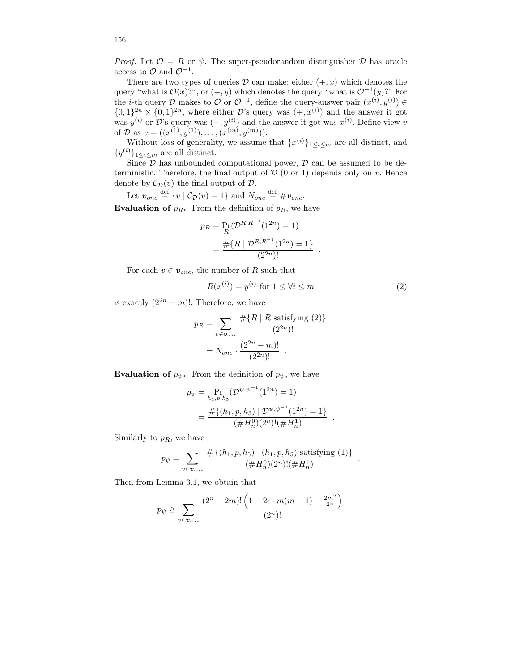*Proof.* Let  $\mathcal{O} = R$  or  $\psi$ . The super-pseudorandom distinguisher  $\mathcal{D}$  has oracle access to  $\mathcal{O}$  and  $\mathcal{O}^{-1}$ .

There are two types of queries  $\mathcal D$  can make: either  $(+, x)$  which denotes the query "what is  $\mathcal{O}(x)$ ?", or  $(-, y)$  which denotes the query "what is  $\mathcal{O}^{-1}(y)$ ?" For the *i*-th query D makes to O or  $\mathcal{O}^{-1}$ , define the query-answer pair  $(x^{(i)}, y^{(i)}) \in$  $\{0,1\}^{2n} \times \{0,1\}^{2n}$ , where either D's query was  $(+,x^{(i)})$  and the answer it got was  $y^{(i)}$  or D's query was  $(-, y^{(i)})$  and the answer it got was  $x^{(i)}$ . Define view v of  $\mathcal{D}$  as  $v = ((x^{(1)}, y^{(1)}), \ldots, (x^{(m)}, y^{(m)})).$ 

Without loss of generality, we assume that  $\{x^{(i)}\}_{1 \le i \le m}$  are all distinct, and  $\{y^{(i)}\}_{1\leq i\leq m}$  are all distinct.

Since  $\mathcal D$  has unbounded computational power,  $\mathcal D$  can be assumed to be deterministic. Therefore, the final output of  $D$  (0 or 1) depends only on v. Hence denote by  $\mathcal{C}_{\mathcal{D}}(v)$  the final output of  $\mathcal{D}$ .

Let 
$$
\mathbf{v}_{one} \stackrel{\text{def}}{=} \{v \mid \mathcal{C}_{\mathcal{D}}(v) = 1\}
$$
 and  $N_{one} \stackrel{\text{def}}{=} \# \mathbf{v}_{one}$ .

**Evaluation of**  $p_R$ . From the definition of  $p_R$ , we have

$$
p_R = \Pr_R(\mathcal{D}^{R,R^{-1}}(1^{2n}) = 1)
$$
  
= 
$$
\frac{\# \{R \mid \mathcal{D}^{R,R^{-1}}(1^{2n}) = 1\}}{(2^{2n})!}.
$$

For each  $v \in v_{one}$ , the number of R such that

$$
R(x^{(i)}) = y^{(i)} \text{ for } 1 \le \forall i \le m \tag{2}
$$

.

.

is exactly  $(2^{2n} - m)!$ . Therefore, we have

$$
p_R = \sum_{v \in v_{one}} \frac{\# \{ R \mid R \text{ satisfying (2)} \}}{(2^{2n})!}
$$

$$
= N_{one} \cdot \frac{(2^{2n} - m)!}{(2^{2n})!}.
$$

**Evaluation of**  $p_{\psi}$ . From the definition of  $p_{\psi}$ , we have

$$
p_{\psi} = \Pr_{h_1, p, h_5}(\mathcal{D}^{\psi, \psi^{-1}}(1^{2n}) = 1)
$$
  
= 
$$
\frac{\# \{(h_1, p, h_5) \mid \mathcal{D}^{\psi, \psi^{-1}}(1^{2n}) = 1\}}{(\#H_n^0)(2^n)!(\#H_n^1)}
$$

Similarly to  $p_R$ , we have

$$
p_{\psi} = \sum_{v \in \mathbf{v}_{one}} \frac{\#\{(h_1, p, h_5) \mid (h_1, p, h_5) \text{ satisfying (1)}\}}{(\#H_n^0)(2^n)!(\#H_n^1)}
$$

Then from Lemma 3.1, we obtain that

$$
p_{\psi} \ge \sum_{v \in v_{one}} \frac{(2^n - 2m)! \left(1 - 2\epsilon \cdot m(m - 1) - \frac{2m^2}{2^n}\right)}{(2^n)!}
$$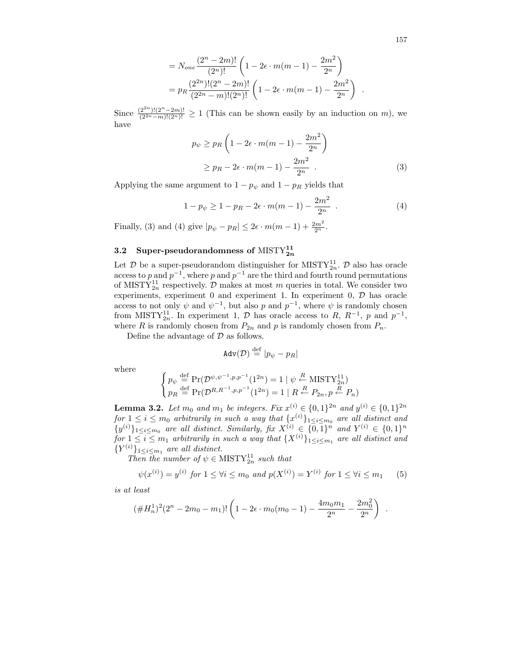157

.

$$
= N_{one} \frac{(2^n - 2m)!}{(2^n)!} \left( 1 - 2\epsilon \cdot m(m - 1) - \frac{2m^2}{2^n} \right)
$$
  
= 
$$
p_R \frac{(2^{2n})!(2^n - 2m)!}{(2^{2n} - m)!(2^n)!} \left( 1 - 2\epsilon \cdot m(m - 1) - \frac{2m^2}{2^n} \right)
$$

Since  $\frac{(2^{2n})!(2^n-2m)!}{(2^{2n}-m)!(2^n)!} \ge 1$  (This can be shown easily by an induction on m), we have

$$
p_{\psi} \ge p_R \left( 1 - 2\epsilon \cdot m(m-1) - \frac{2m^2}{2^n} \right)
$$
  
 
$$
\ge p_R - 2\epsilon \cdot m(m-1) - \frac{2m^2}{2^n} . \tag{3}
$$

Applying the same argument to  $1 - p_{\psi}$  and  $1 - p_R$  yields that

$$
1 - p_{\psi} \ge 1 - p_R - 2\epsilon \cdot m(m - 1) - \frac{2m^2}{2^n} \tag{4}
$$

Finally, (3) and (4) give  $|p_{\psi} - p_R| \leq 2\epsilon \cdot m(m-1) + \frac{2m^2}{2^n}$ .

# 3.2 Super-pseudorandomness of  $\text{MISTY}_{2n}^{11}$

Let  $D$  be a super-pseudorandom distinguisher for MISTY<sub>2n</sub>.  $D$  also has oracle access to p and  $p^{-1}$ , where p and  $p^{-1}$  are the third and fourth round permutations of MISTY<sup>11</sup><sub>2n</sub> respectively. D makes at most m queries in total. We consider two experiments, experiment  $0$  and experiment  $1$ . In experiment  $0$ ,  $D$  has oracle access to not only  $\psi$  and  $\psi^{-1}$ , but also p and  $p^{-1}$ , where  $\psi$  is randomly chosen from MISTY<sup>11</sup><sub>2n</sub>. In experiment 1,  $\mathcal{D}$  has oracle access to R,  $R^{-1}$ , p and  $p^{-1}$ , where R is randomly chosen from  $P_{2n}$  and p is randomly chosen from  $P_n$ .

Define the advantage of  $D$  as follows.

$$
\text{Adv}(\mathcal{D}) \stackrel{\text{def}}{=} |p_{\psi} - p_R|
$$

where

$$
\begin{cases} p_{\psi} \stackrel{\text{def}}{=} \Pr(\mathcal{D}^{\psi,\psi^{-1},p,p^{-1}}(1^{2n}) = 1 \mid \psi \stackrel{R}{\leftarrow} \text{MISTY}_{2n}^{11}) \\ p_R \stackrel{\text{def}}{=} \Pr(\mathcal{D}^{R,R^{-1},p,p^{-1}}(1^{2n}) = 1 \mid R \stackrel{R}{\leftarrow} P_{2n}, p \stackrel{R}{\leftarrow} P_n) \end{cases}
$$

**Lemma 3.2.** Let  $m_0$  and  $m_1$  be integers. Fix  $x^{(i)} \in \{0,1\}^{2n}$  and  $y^{(i)} \in \{0,1\}^{2n}$  $for 1 \leq i \leq m_0$  arbitrarily in such a way that  $\{x^{(i)}\}_{1 \leq i \leq m_0}$  are all distinct and  $\{y^{(i)}\}_{1\leq i\leq m_0}$  are all distinct. Similarly, fix  $X^{(i)} \in \{0,1\}^n$  and  $Y^{(i)} \in \{0,1\}^n$ for  $1 \leq i \leq m_1$  arbitrarily in such a way that  $\{X^{(i)}\}_{1 \leq i \leq m_1}$  are all distinct and  ${Y^{(i)}}_{1 \leq i \leq m_1}$  are all distinct.

Then the number of  $\psi \in \text{MISTY}_{2n}^{11}$  such that

$$
\psi(x^{(i)}) = y^{(i)} \text{ for } 1 \le \forall i \le m_0 \text{ and } p(X^{(i)}) = Y^{(i)} \text{ for } 1 \le \forall i \le m_1 \qquad (5)
$$

is at least

$$
(\#H_n^1)^2(2^n - 2m_0 - m_1)!\left(1 - 2\epsilon \cdot m_0(m_0 - 1) - \frac{4m_0m_1}{2^n} - \frac{2m_0^2}{2^n}\right) .
$$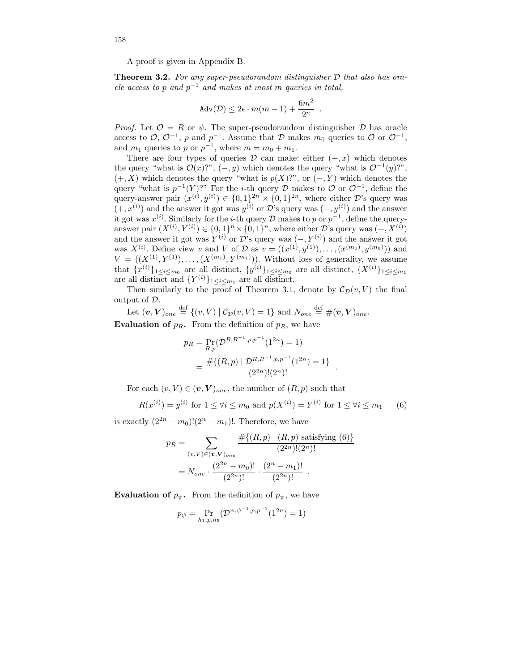A proof is given in Appendix B.

**Theorem 3.2.** For any super-pseudorandom distinguisher  $D$  that also has oracle access to p and  $p^{-1}$  and makes at most m queries in total,

$$
\text{Adv}(\mathcal{D}) \leq 2\epsilon \cdot m(m-1) + \frac{6m^2}{2^n}
$$

.

*Proof.* Let  $\mathcal{O} = R$  or  $\psi$ . The super-pseudorandom distinguisher  $\mathcal{D}$  has oracle access to  $\mathcal{O}, \mathcal{O}^{-1}, p$  and  $p^{-1}$ . Assume that  $\mathcal D$  makes  $m_0$  queries to  $\mathcal O$  or  $\mathcal{O}^{-1},$ and  $m_1$  queries to p or  $p^{-1}$ , where  $m = m_0 + m_1$ .

There are four types of queries  $\mathcal D$  can make: either  $(+, x)$  which denotes the query "what is  $\mathcal{O}(x)$ ?",  $(-, y)$  which denotes the query "what is  $\mathcal{O}^{-1}(y)$ ?",  $(+, X)$  which denotes the query "what is  $p(X)$ ?", or  $(-, Y)$  which denotes the query "what is  $p^{-1}(Y)$ ?" For the *i*-th query  $D$  makes to  $O$  or  $O^{-1}$ , define the query-answer pair  $(x^{(i)}, y^{(i)}) \in \{0, 1\}^{2n} \times \{0, 1\}^{2n}$ , where either D's query was  $(+, x^{(i)})$  and the answer it got was  $y^{(i)}$  or D's query was  $(-, y^{(i)})$  and the answer it got was  $x^{(i)}$ . Similarly for the *i*-th query D makes to p or  $p^{-1}$ , define the queryanswer pair  $(X^{(i)}, Y^{(i)}) \in \{0,1\}^n \times \{0,1\}^n$ , where either D's query was  $(+, X^{(i)})$ and the answer it got was  $Y^{(i)}$  or  $\mathcal{D}$ 's query was  $(-, Y^{(i)})$  and the answer it got was  $X^{(i)}$ . Define view v and V of D as  $v = ((x^{(1)}, y^{(1)}), \ldots, (x^{(m_0)}, y^{(m_0)}))$  and  $V = ((X^{(1)}, Y^{(1)}), \ldots, (X^{(m_1)}, Y^{(m_1)}))$ . Without loss of generality, we assume that  $\{x^{(i)}\}_{1 \leq i \leq m_0}$  are all distinct,  $\{y^{(i)}\}_{1 \leq i \leq m_0}$  are all distinct,  $\{X^{(i)}\}_{1 \leq i \leq m_1}$ are all distinct and  $\{Y^{(i)}\}_{1 \leq i \leq m_1}$  are all distinct.

Then similarly to the proof of Theorem 3.1, denote by  $\mathcal{C}_{\mathcal{D}}(v, V)$  the final output of D.

Let 
$$
(v, V)_{one} \stackrel{\text{def}}{=} \{(v, V) | C_{\mathcal{D}}(v, V) = 1\}
$$
 and  $N_{one} \stackrel{\text{def}}{=} \#(v, V)_{one}$ .

**Evaluation of**  $p_R$ . From the definition of  $p_R$ , we have

$$
p_R = \Pr_{R,p}(\mathcal{D}^{R,R^{-1},p,p^{-1}}(1^{2n}) = 1)
$$
  
= 
$$
\frac{\# \{(R,p) \mid \mathcal{D}^{R,R^{-1},p,p^{-1}}(1^{2n}) = 1\}}{(2^{2n})!(2^n)!}.
$$

For each  $(v, V) \in (\boldsymbol{v}, V)_{one}$ , the number of  $(R, p)$  such that

$$
R(x^{(i)}) = y^{(i)} \text{ for } 1 \le \forall i \le m_0 \text{ and } p(X^{(i)}) = Y^{(i)} \text{ for } 1 \le \forall i \le m_1 \qquad (6)
$$

is exactly  $(2^{2n} - m_0)!(2^n - m_1)!$ . Therefore, we have

$$
p_R = \sum_{(v,V)\in(v,V)_{one}} \frac{\#\{(R,p) \mid (R,p) \text{ satisfying } (6)\}}{(2^{2n})!(2^n)!}
$$

$$
= N_{one} \cdot \frac{(2^{2n} - m_0)!}{(2^{2n})!} \cdot \frac{(2^n - m_1)!}{(2^{2n})!}.
$$

**Evaluation of**  $p_{\psi}$ . From the definition of  $p_{\psi}$ , we have

$$
p_{\psi} = \Pr_{h_1, p, h_5}(\mathcal{D}^{\psi, \psi^{-1}, p, p^{-1}}(1^{2n}) = 1)
$$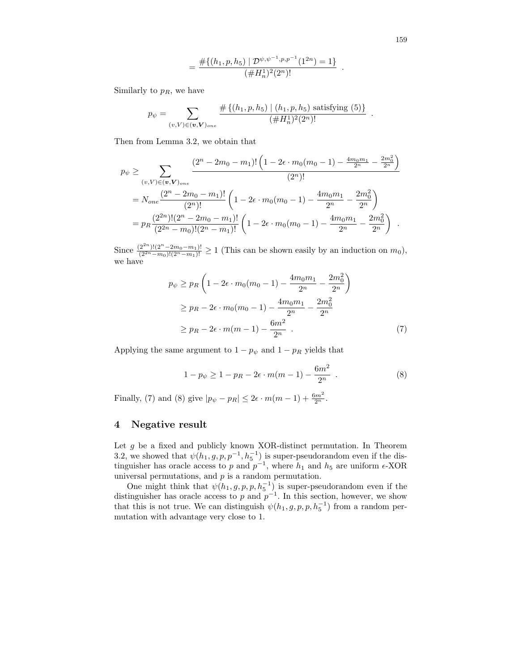159

$$
= \frac{\#\{(h_1,p,h_5) \mid \mathcal{D}^{\psi,\psi^{-1},p,p^{-1}}(1^{2n}) = 1\}}{(\#H_n^1)^2(2^n)!} .
$$

Similarly to  $p_R$ , we have

$$
p_{\psi} = \sum_{(v,V)\in(\mathbf{v},\mathbf{V})_{one}} \frac{\#\{(h_1,p,h_5) \mid (h_1,p,h_5) \text{ satisfying (5)}\}}{(\#H_n^1)^2(2^n)!}.
$$

Then from Lemma 3.2, we obtain that

$$
p_{\psi} \geq \sum_{(v,V)\in(v,V)_{one}} \frac{(2^n - 2m_0 - m_1)! \left(1 - 2\epsilon \cdot m_0(m_0 - 1) - \frac{4m_0m_1}{2^n} - \frac{2m_0^2}{2^n}\right)}{(2^n)!}
$$
  
= 
$$
N_{one} \frac{(2^n - 2m_0 - m_1)!}{(2^n)!} \left(1 - 2\epsilon \cdot m_0(m_0 - 1) - \frac{4m_0m_1}{2^n} - \frac{2m_0^2}{2^n}\right)
$$
  
= 
$$
p_R \frac{(2^{2n})!(2^n - 2m_0 - m_1)!}{(2^{2n} - m_0)!(2^n - m_1)!} \left(1 - 2\epsilon \cdot m_0(m_0 - 1) - \frac{4m_0m_1}{2^n} - \frac{2m_0^2}{2^n}\right).
$$

Since  $\frac{(2^{2n})!(2^n-2m_0-m_1)!}{(2^{2n}-m_0)!(2^n-m_1)!} \ge 1$  (This can be shown easily by an induction on  $m_0$ ), we have

$$
p_{\psi} \ge p_R \left( 1 - 2\epsilon \cdot m_0(m_0 - 1) - \frac{4m_0m_1}{2^n} - \frac{2m_0^2}{2^n} \right)
$$
  
\n
$$
\ge p_R - 2\epsilon \cdot m_0(m_0 - 1) - \frac{4m_0m_1}{2^n} - \frac{2m_0^2}{2^n}
$$
  
\n
$$
\ge p_R - 2\epsilon \cdot m(m - 1) - \frac{6m^2}{2^n} . \tag{7}
$$

Applying the same argument to  $1 - p_{\psi}$  and  $1 - p_R$  yields that

$$
1 - p_{\psi} \ge 1 - p_R - 2\epsilon \cdot m(m - 1) - \frac{6m^2}{2^n} \tag{8}
$$

Finally, (7) and (8) give  $|p_{\psi} - p_R| \leq 2\epsilon \cdot m(m-1) + \frac{6m^2}{2^n}$ .

## 4 Negative result

Let  $g$  be a fixed and publicly known XOR-distinct permutation. In Theorem 3.2, we showed that  $\psi(h_1, g, p, p^{-1}, h_5^{-1})$  is super-pseudorandom even if the distinguisher has oracle access to p and  $p^{-1}$ , where  $h_1$  and  $h_5$  are uniform  $\epsilon$ -XOR universal permutations, and  $p$  is a random permutation.

One might think that  $\psi(h_1, g, p, p, h_5^{-1})$  is super-pseudorandom even if the distinguisher has oracle access to p and  $p^{-1}$ . In this section, however, we show that this is not true. We can distinguish  $\psi(h_1, g, p, p, h_5^{-1})$  from a random permutation with advantage very close to 1.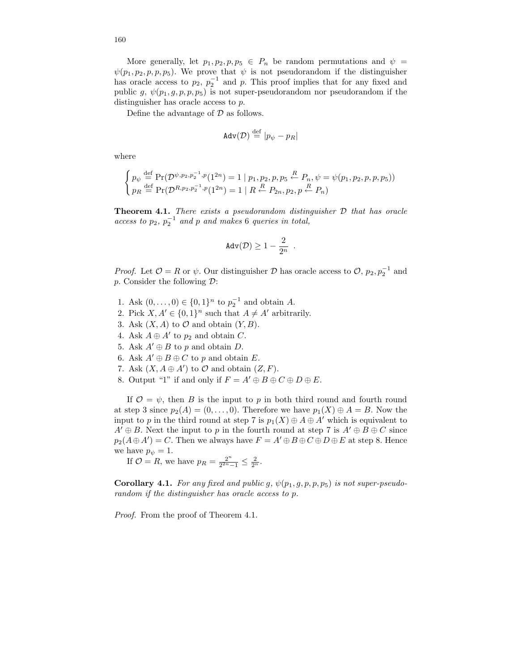More generally, let  $p_1, p_2, p, p_5 \in P_n$  be random permutations and  $\psi =$  $\psi(p_1, p_2, p, p, p_5)$ . We prove that  $\psi$  is not pseudorandom if the distinguisher has oracle access to  $p_2$ ,  $p_2^{-1}$  and p. This proof implies that for any fixed and public g,  $\psi(p_1, g, p, p, p_5)$  is not super-pseudorandom nor pseudorandom if the distinguisher has oracle access to  $p$ .

Define the advantage of  $D$  as follows.

$$
\text{Adv}(\mathcal{D}) \stackrel{\text{def}}{=} |p_{\psi} - p_R|
$$

where

$$
\begin{cases} p_{\psi} \stackrel{\text{def}}{=} \Pr(\mathcal{D}^{\psi, p_2, p_2^{-1}, p}(1^{2n}) = 1 \mid p_1, p_2, p, p_5 \stackrel{R}{\leftarrow} P_n, \psi = \psi(p_1, p_2, p, p, p_5)) \\ p_R \stackrel{\text{def}}{=} \Pr(\mathcal{D}^{R, p_2, p_2^{-1}, p}(1^{2n}) = 1 \mid R \stackrel{R}{\leftarrow} P_{2n}, p_2, p \stackrel{R}{\leftarrow} P_n) \end{cases}
$$

**Theorem 4.1.** There exists a pseudorandom distinguisher  $D$  that has oracle access to  $p_2$ ,  $p_2^{-1}$  and p and makes 6 queries in total,

$$
\mathrm{Adv}(\mathcal{D}) \geq 1 - \frac{2}{2^n} \enspace.
$$

*Proof.* Let  $\mathcal{O} = R$  or  $\psi$ . Our distinguisher  $\mathcal{D}$  has oracle access to  $\mathcal{O}, p_2, p_2^{-1}$  and p. Consider the following  $\mathcal{D}$ :

- 1. Ask  $(0, ..., 0) \in \{0, 1\}^n$  to  $p_2^{-1}$  and obtain A.
- 2. Pick  $X, A' \in \{0, 1\}^n$  such that  $A \neq A'$  arbitrarily.
- 3. Ask  $(X, A)$  to  $\mathcal O$  and obtain  $(Y, B)$ .
- 4. Ask  $A \oplus A'$  to  $p_2$  and obtain C.
- 5. Ask  $A' \oplus B$  to p and obtain D.
- 6. Ask  $A' \oplus B \oplus C$  to p and obtain E.
- 7. Ask  $(X, A \oplus A')$  to  $\mathcal O$  and obtain  $(Z, F)$ .
- 8. Output "1" if and only if  $F = A' \oplus B \oplus C \oplus D \oplus E$ .

If  $\mathcal{O} = \psi$ , then B is the input to p in both third round and fourth round at step 3 since  $p_2(A) = (0, \ldots, 0)$ . Therefore we have  $p_1(X) \oplus A = B$ . Now the input to p in the third round at step 7 is  $p_1(X) \oplus A \oplus A'$  which is equivalent to  $A' \oplus B$ . Next the input to p in the fourth round at step 7 is  $A' \oplus B \oplus C$  since  $p_2(A \oplus A') = C$ . Then we always have  $F = A' \oplus B \oplus C \oplus D \oplus E$  at step 8. Hence we have  $p_{\psi} = 1$ .

If  $\mathcal{O} = R$ , we have  $p_R = \frac{2^n}{2^{2n}}$  $\frac{2^n}{2^{2n}-1} \leq \frac{2}{2^n}.$ 

Corollary 4.1. For any fixed and public g,  $\psi(p_1, g, p, p, p_5)$  is not super-pseudorandom if the distinguisher has oracle access to p.

Proof. From the proof of Theorem 4.1.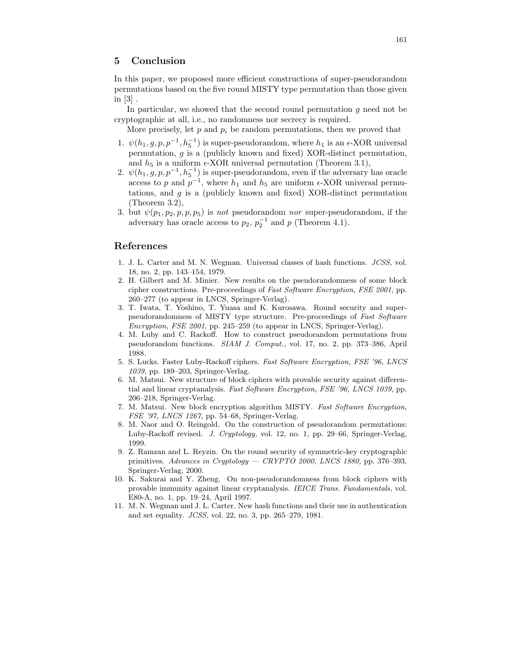# 5 Conclusion

In this paper, we proposed more efficient constructions of super-pseudorandom permutations based on the five round MISTY type permutation than those given in [3] .

In particular, we showed that the second round permutation  $q$  need not be cryptographic at all, i.e., no randomness nor secrecy is required.

More precisely, let p and  $p_i$  be random permutations, then we proved that

- 1.  $\psi(h_1, g, p, p^{-1}, h_5^{-1})$  is super-pseudorandom, where  $h_1$  is an  $\epsilon$ -XOR universal permutation, g is a (publicly known and fixed) XOR-distinct permutation, and  $h_5$  is a uniform  $\epsilon$ -XOR universal permutation (Theorem 3.1),
- 2.  $\psi(h_1, g, p, p^{-1}, h_5^{-1})$  is super-pseudorandom, even if the adversary has oracle access to p and  $p^{-1}$ , where  $h_1$  and  $h_5$  are uniform  $\epsilon$ -XOR universal permutations, and  $g$  is a (publicly known and fixed) XOR-distinct permutation (Theorem 3.2),
- 3. but  $\psi(p_1, p_2, p, p, p_5)$  is not pseudorandom nor super-pseudorandom, if the adversary has oracle access to  $p_2$ ,  $p_2^{-1}$  and p (Theorem 4.1).

## References

- 1. J. L. Carter and M. N. Wegman. Universal classes of hash functions. JCSS, vol. 18, no. 2, pp. 143–154, 1979.
- 2. H. Gilbert and M. Minier. New results on the pseudorandomness of some block cipher constructions. Pre-proceedings of Fast Software Encryption, FSE 2001, pp. 260–277 (to appear in LNCS, Springer-Verlag).
- 3. T. Iwata, T. Yoshino, T. Yuasa and K. Kurosawa. Round security and superpseudorandomness of MISTY type structure. Pre-proceedings of Fast Software Encryption, FSE 2001, pp. 245–259 (to appear in LNCS, Springer-Verlag).
- 4. M. Luby and C. Rackoff. How to construct pseudorandom permutations from pseudorandom functions. SIAM J. Comput., vol. 17, no. 2, pp. 373–386, April 1988.
- 5. S. Lucks. Faster Luby-Rackoff ciphers. Fast Software Encryption, FSE '96, LNCS 1039, pp. 189–203, Springer-Verlag.
- 6. M. Matsui. New structure of block ciphers with provable security against differential and linear cryptanalysis. Fast Software Encryption, FSE '96, LNCS 1039, pp. 206–218, Springer-Verlag.
- 7. M. Matsui. New block encryption algorithm MISTY. Fast Software Encryption, FSE '97, LNCS 1267, pp. 54–68, Springer-Verlag.
- 8. M. Naor and O. Reingold. On the construction of pseudorandom permutations: Luby-Rackoff revised. J. Cryptology, vol. 12, no. 1, pp. 29–66, Springer-Verlag, 1999.
- 9. Z. Ramzan and L. Reyzin. On the round security of symmetric-key cryptographic primitives. Advances in Cryptology  $-$  CRYPTO 2000, LNCS 1880, pp. 376-393, Springer-Verlag, 2000.
- 10. K. Sakurai and Y. Zheng. On non-pseudorandomness from block ciphers with provable immunity against linear cryptanalysis. IEICE Trans. Fundamentals, vol. E80-A, no. 1, pp. 19–24, April 1997.
- 11. M. N. Wegman and J. L. Carter. New hash functions and their use in authentication and set equality. JCSS, vol. 22, no. 3, pp. 265–279, 1981.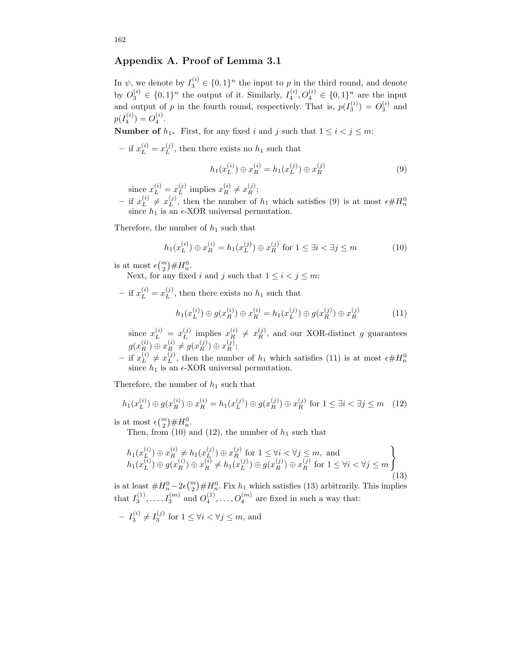# Appendix A. Proof of Lemma 3.1

In  $\psi$ , we denote by  $I_3^{(i)} \in \{0,1\}^n$  the input to p in the third round, and denote by  $O_3^{(i)} \in \{0,1\}^n$  the output of it. Similarly,  $I_4^{(i)}$ ,  $O_4^{(i)} \in \{0,1\}^n$  are the input and output of p in the fourth round, respectively. That is,  $p(I_3^{(i)}) = O_3^{(i)}$  and  $p(I_4^{(i)}) = O_4^{(i)}$ .

**Number of**  $h_1$ . First, for any fixed i and j such that  $1 \le i < j \le m$ :

- if  $x_L^{(i)} = x_L^{(j)}$ , then there exists no  $h_1$  such that

$$
h_1(x_L^{(i)}) \oplus x_R^{(i)} = h_1(x_L^{(j)}) \oplus x_R^{(j)}
$$
(9)

since  $x_L^{(i)} = x_L^{(j)}$  implies  $x_R^{(i)} \neq x_R^{(j)}$ ;

– if  $x_L^{(i)} \neq x_L^{(j)}$ , then the number of  $h_1$  which satisfies (9) is at most  $\epsilon \# H_n^0$  since  $h_1$  is an  $\epsilon$ -XOR universal permutation.

Therefore, the number of  $h_1$  such that

$$
h_1(x_L^{(i)}) \oplus x_R^{(i)} = h_1(x_L^{(j)}) \oplus x_R^{(j)} \text{ for } 1 \le \exists i < \exists j \le m \tag{10}
$$

is at most  $\epsilon {m \choose 2} \# H_n^0$ .

Next, for any fixed i and j such that  $1 \leq i < j \leq m$ :

- if  $x_L^{(i)} = x_L^{(j)}$ , then there exists no  $h_1$  such that

$$
h_1(x_L^{(i)}) \oplus g(x_R^{(i)}) \oplus x_R^{(i)} = h_1(x_L^{(j)}) \oplus g(x_R^{(j)}) \oplus x_R^{(j)}
$$
(11)

since  $x_L^{(i)} = x_L^{(j)}$  implies  $x_R^{(i)} \neq x_R^{(j)}$ , and our XOR-distinct g guarantees  $g(x_R^{(i)}) \oplus x_R^{(i)} \neq g(x_R^{(j)}) \oplus x_R^{(j)};$ 

– if  $x_L^{(i)} \neq x_L^{(j)}$ , then the number of  $h_1$  which satisfies (11) is at most  $\epsilon \# H_n^0$  since  $h_1$  is an  $\epsilon$ -XOR universal permutation.

Therefore, the number of  $h_1$  such that

$$
h_1(x_L^{(i)}) \oplus g(x_R^{(i)}) \oplus x_R^{(i)} = h_1(x_L^{(j)}) \oplus g(x_R^{(j)}) \oplus x_R^{(j)} \text{ for } 1 \le \exists i < \exists j \le m \quad (12)
$$

is at most  $\epsilon \binom{m}{2} \# H_n^0$ .

Then, from (10) and (12), the number of  $h_1$  such that

$$
h_1(x_L^{(i)}) \oplus x_R^{(i)} \neq h_1(x_L^{(j)}) \oplus x_R^{(j)} \text{ for } 1 \le \forall i < \forall j \le m, \text{ and}
$$
  
\n
$$
h_1(x_L^{(i)}) \oplus g(x_R^{(i)}) \oplus x_R^{(i)} \neq h_1(x_L^{(j)}) \oplus g(x_R^{(j)}) \oplus x_R^{(j)} \text{ for } 1 \le \forall i < \forall j \le m
$$
  
\n(13)

is at least  $\#H_n^0-2\epsilon\binom{m}{2}\#H_n^0$ . Fix  $h_1$  which satisfies (13) arbitrarily. This implies 2 that  $I_3^{(1)}, \ldots, I_3^{(m)}$  and  $O_4^{(1)}, \ldots, O_4^{(m)}$  are fixed in such a way that:

$$
- I_3^{(i)} \neq I_3^{(j)} \text{ for } 1 \leq \forall i < \forall j \leq m \text{, and}
$$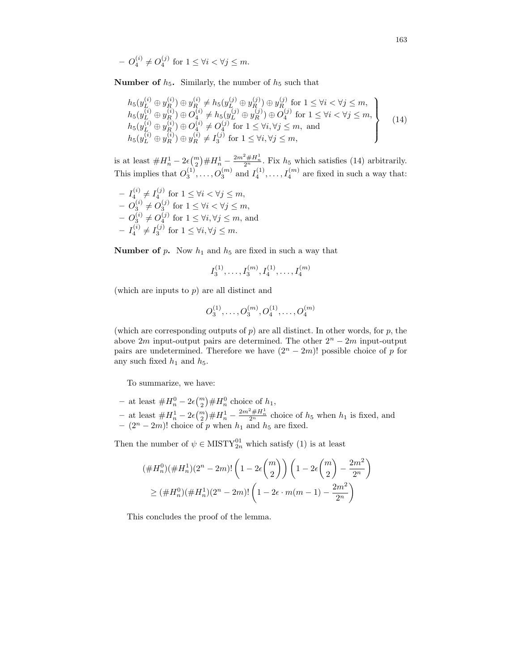$$
- O_4^{(i)} \neq O_4^{(j)} \text{ for } 1 \le \forall i < \forall j \le m.
$$

**Number of**  $h_5$ **.** Similarly, the number of  $h_5$  such that

$$
h_5(y_L^{(i)} \oplus y_R^{(i)}) \oplus y_R^{(i)} \neq h_5(y_L^{(j)} \oplus y_R^{(j)}) \oplus y_R^{(j)}
$$
 for  $1 \leq \forall i < \forall j \leq m$ ,  
\n
$$
h_5(y_L^{(i)} \oplus y_R^{(i)}) \oplus O_4^{(i)} \neq h_5(y_L^{(j)} \oplus y_R^{(j)}) \oplus O_4^{(j)}
$$
 for  $1 \leq \forall i < \forall j \leq m$ ,  
\n
$$
h_5(y_L^{(i)} \oplus y_R^{(i)}) \oplus O_4^{(i)} \neq O_4^{(j)}
$$
 for  $1 \leq \forall i, \forall j \leq m$ , and  
\n
$$
h_5(y_L^{(i)} \oplus y_R^{(i)}) \oplus y_R^{(i)} \neq I_3^{(j)}
$$
 for  $1 \leq \forall i, \forall j \leq m$ , (14)

is at least  $\#H_n^1 - 2\epsilon {m \choose 2} \#H_n^1 - \frac{2m^2 \#H_n^1}{2^n}$ . Fix  $h_5$  which satisfies (14) arbitrarily. This implies that  $O_3^{(1)}, \ldots, O_3^{(m)}$  and  $I_4^{(1)}, \ldots, I_4^{(m)}$  are fixed in such a way that:

$$
- I_4^{(i)} \neq I_4^{(j)} \text{ for } 1 \leq \forall i < \forall j \leq m,
$$
  
\n
$$
- O_3^{(i)} \neq O_3^{(j)} \text{ for } 1 \leq \forall i < \forall j \leq m,
$$
  
\n
$$
- O_3^{(i)} \neq O_4^{(j)} \text{ for } 1 \leq \forall i, \forall j \leq m, \text{ and}
$$
  
\n
$$
- I_4^{(i)} \neq I_3^{(j)} \text{ for } 1 \leq \forall i, \forall j \leq m.
$$

**Number of p.** Now  $h_1$  and  $h_5$  are fixed in such a way that

$$
I_3^{(1)}, \ldots, I_3^{(m)}, I_4^{(1)}, \ldots, I_4^{(m)}
$$

(which are inputs to  $p$ ) are all distinct and

$$
O_3^{(1)}, \ldots, O_3^{(m)}, O_4^{(1)}, \ldots, O_4^{(m)}
$$

(which are corresponding outputs of  $p$ ) are all distinct. In other words, for  $p$ , the above  $2m$  input-output pairs are determined. The other  $2<sup>n</sup> - 2m$  input-output pairs are undetermined. Therefore we have  $(2^{n} - 2m)!$  possible choice of p for any such fixed  $h_1$  and  $h_5$ .

To summarize, we have:

- − at least  $#H_n^0 2\epsilon \binom{m}{2} \#H_n^0$  choice of  $h_1$ , 2
- − at least  $#H_n^1 2\epsilon {m \choose 2} #H_n^1 \frac{2m^2#H_n^1}{2^n}$  choice of  $h_5$  when  $h_1$  is fixed, and –  $(2^n - 2m)!$  choice of p when  $h_1$  and  $h_5$  are fixed.

Then the number of  $\psi \in \text{MISTY}_{2n}^{01}$  which satisfy (1) is at least

$$
(\#H_n^0)(\#H_n^1)(2^n - 2m)!\left(1 - 2\epsilon \binom{m}{2}\right)\left(1 - 2\epsilon \binom{m}{2} - \frac{2m^2}{2^n}\right)
$$
  
 
$$
\geq (\#H_n^0)(\#H_n^1)(2^n - 2m)!\left(1 - 2\epsilon \cdot m(m-1) - \frac{2m^2}{2^n}\right)
$$

This concludes the proof of the lemma.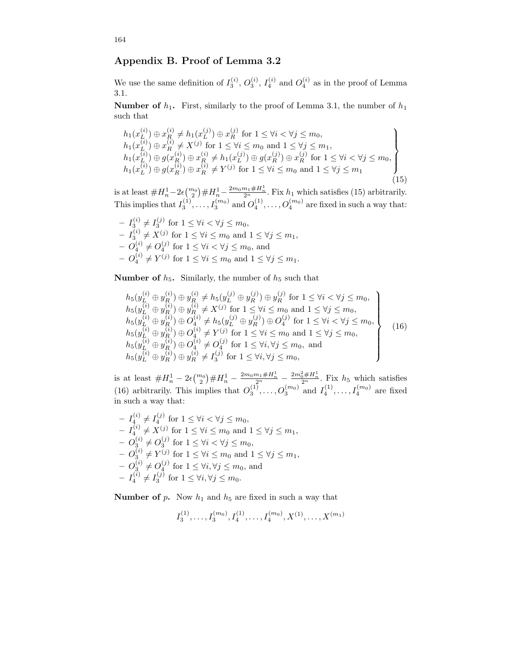# Appendix B. Proof of Lemma 3.2

We use the same definition of  $I_3^{(i)}$ ,  $O_3^{(i)}$ ,  $I_4^{(i)}$  and  $O_4^{(i)}$  as in the proof of Lemma 3.1.

**Number of**  $h_1$ **.** First, similarly to the proof of Lemma 3.1, the number of  $h_1$ such that

$$
h_1(x_L^{(i)}) \oplus x_R^{(i)} \neq h_1(x_L^{(j)}) \oplus x_R^{(j)}
$$
 for  $1 \leq \forall i < \forall j \leq m_0$ ,  
\n
$$
h_1(x_L^{(i)}) \oplus x_R^{(i)} \neq X^{(j)}
$$
 for  $1 \leq \forall i \leq m_0$  and  $1 \leq \forall j \leq m_1$ ,  
\n
$$
h_1(x_L^{(i)}) \oplus g(x_R^{(i)}) \oplus x_R^{(i)} \neq h_1(x_L^{(j)}) \oplus g(x_R^{(j)}) \oplus x_R^{(j)}
$$
 for  $1 \leq \forall i < \forall j \leq m_0$ ,  
\n
$$
h_1(x_L^{(i)}) \oplus g(x_R^{(i)}) \oplus x_R^{(i)} \neq Y^{(j)}
$$
 for  $1 \leq \forall i \leq m_0$  and  $1 \leq \forall j \leq m_1$  (15)

is at least  $\#H_n^1-2\epsilon\binom{m_0}{2}\#H_n^1-\frac{2m_0m_1\#H_n^1}{2^n}$ . Fix  $h_1$  which satisfies (15) arbitrarily. This implies that  $I_3^{(1)}, \ldots, I_3^{(m_0)}$  and  $O_4^{(1)}, \ldots, O_4^{(m_0)}$  are fixed in such a way that:

- 
$$
I_3^{(i)} \neq I_3^{(j)}
$$
 for  $1 \leq \forall i < \forall j \leq m_0$ ,  
\n-  $I_3^{(i)} \neq X^{(j)}$  for  $1 \leq \forall i \leq m_0$  and  $1 \leq \forall j \leq m_1$ ,  
\n-  $O_4^{(i)} \neq O_4^{(j)}$  for  $1 \leq \forall i < \forall j \leq m_0$ , and  
\n-  $O_4^{(i)} \neq Y^{(j)}$  for  $1 \leq \forall i \leq m_0$  and  $1 \leq \forall j \leq m_1$ .

**Number of**  $h_5$ **.** Similarly, the number of  $h_5$  such that

$$
h_5(y_L^{(i)} \oplus y_R^{(i)}) \oplus y_R^{(i)} \neq h_5(y_L^{(j)} \oplus y_R^{(j)}) \oplus y_R^{(j)}
$$
 for  $1 \leq \forall i < \forall j \leq m_0$ ,  
\n
$$
h_5(y_L^{(i)} \oplus y_R^{(i)}) \oplus y_R^{(i)} \neq X^{(j)}
$$
 for  $1 \leq \forall i \leq m_0$  and  $1 \leq \forall j \leq m_0$ ,  
\n
$$
h_5(y_L^{(i)} \oplus y_R^{(i)}) \oplus O_4^{(i)} \neq h_5(y_L^{(j)} \oplus y_R^{(j)}) \oplus O_4^{(j)}
$$
 for  $1 \leq \forall i < \forall j \leq m_0$ ,  
\n
$$
h_5(y_L^{(i)} \oplus y_R^{(i)}) \oplus O_4^{(i)} \neq Y^{(j)}
$$
 for  $1 \leq \forall i \leq m_0$  and  $1 \leq \forall j \leq m_0$ ,  
\n
$$
h_5(y_L^{(i)} \oplus y_R^{(i)}) \oplus O_4^{(i)} \neq O_4^{(j)}
$$
 for  $1 \leq \forall i, \forall j \leq m_0$ , and  
\n
$$
h_5(y_L^{(i)} \oplus y_R^{(i)}) \oplus y_R^{(i)} \neq I_3^{(j)}
$$
 for  $1 \leq \forall i, \forall j \leq m_0$ , (16)

is at least  $\#H_n^1 - 2\epsilon \binom{m_0}{2} \#H_n^1 - \frac{2m_0m_1 \#H_n^1}{2^n} - \frac{2m_0^2 \#H_n^1}{2^n}$ . Fix  $h_5$  which satisfies (16) arbitrarily. This implies that  $O_3^{(1)}, \ldots, O_3^{(m_0)}$  and  $I_4^{(1)}, \ldots, I_4^{(m_0)}$  are fixed in such a way that:

$$
I_4^{(i)} \neq I_4^{(j)} \text{ for } 1 \leq \forall i < \forall j \leq m_0, - I_4^{(i)} \neq X^{(j)} \text{ for } 1 \leq \forall i \leq m_0 \text{ and } 1 \leq \forall j \leq m_1, - O_3^{(i)} \neq O_3^{(j)} \text{ for } 1 \leq \forall i < \forall j \leq m_0, - O_3^{(i)} \neq Y^{(j)} \text{ for } 1 \leq \forall i \leq m_0 \text{ and } 1 \leq \forall j \leq m_1, - O_3^{(i)} \neq O_4^{(j)} \text{ for } 1 \leq \forall i, \forall j \leq m_0, \text{ and } - I_4^{(i)} \neq I_3^{(j)} \text{ for } 1 \leq \forall i, \forall j \leq m_0.
$$

**Number of p.** Now  $h_1$  and  $h_5$  are fixed in such a way that

$$
I_3^{(1)}, \ldots, I_3^{(m_0)}, I_4^{(1)}, \ldots, I_4^{(m_0)}, X^{(1)}, \ldots, X^{(m_1)}
$$

164